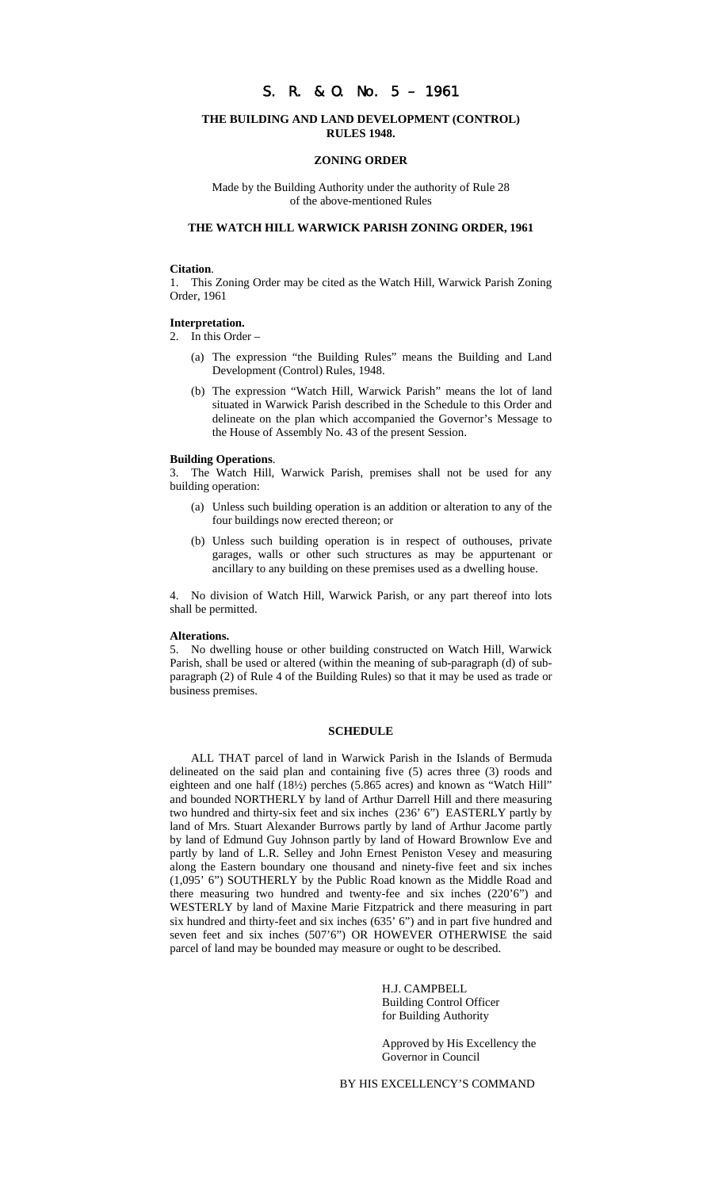# S. R. & O. No. 5 – 1961

### **THE BUILDING AND LAND DEVELOPMENT (CONTROL) RULES 1948.**

### **ZONING ORDER**

Made by the Building Authority under the authority of Rule 28 of the above-mentioned Rules

## **THE WATCH HILL WARWICK PARISH ZONING ORDER, 1961**

### **Citation**.

1. This Zoning Order may be cited as the Watch Hill, Warwick Parish Zoning Order, 1961

#### **Interpretation.**

2. In this Order –

- (a) The expression "the Building Rules" means the Building and Land Development (Control) Rules, 1948.
- (b) The expression "Watch Hill, Warwick Parish" means the lot of land situated in Warwick Parish described in the Schedule to this Order and delineate on the plan which accompanied the Governor's Message to the House of Assembly No. 43 of the present Session.

#### **Building Operations**.

3. The Watch Hill, Warwick Parish, premises shall not be used for any building operation:

- (a) Unless such building operation is an addition or alteration to any of the four buildings now erected thereon; or
- (b) Unless such building operation is in respect of outhouses, private garages, walls or other such structures as may be appurtenant or ancillary to any building on these premises used as a dwelling house.

4. No division of Watch Hill, Warwick Parish, or any part thereof into lots shall be permitted.

#### **Alterations.**

5. No dwelling house or other building constructed on Watch Hill, Warwick Parish, shall be used or altered (within the meaning of sub-paragraph (d) of subparagraph (2) of Rule 4 of the Building Rules) so that it may be used as trade or business premises.

### **SCHEDULE**

ALL THAT parcel of land in Warwick Parish in the Islands of Bermuda delineated on the said plan and containing five (5) acres three (3) roods and eighteen and one half (18½) perches (5.865 acres) and known as "Watch Hill" and bounded NORTHERLY by land of Arthur Darrell Hill and there measuring two hundred and thirty-six feet and six inches (236' 6") EASTERLY partly by land of Mrs. Stuart Alexander Burrows partly by land of Arthur Jacome partly by land of Edmund Guy Johnson partly by land of Howard Brownlow Eve and partly by land of L.R. Selley and John Ernest Peniston Vesey and measuring along the Eastern boundary one thousand and ninety-five feet and six inches (1,095' 6") SOUTHERLY by the Public Road known as the Middle Road and there measuring two hundred and twenty-fee and six inches (220'6") and WESTERLY by land of Maxine Marie Fitzpatrick and there measuring in part six hundred and thirty-feet and six inches (635' 6") and in part five hundred and seven feet and six inches (507'6") OR HOWEVER OTHERWISE the said parcel of land may be bounded may measure or ought to be described.

> H.J. CAMPBELL Building Control Officer for Building Authority

Approved by His Excellency the Governor in Council

BY HIS EXCELLENCY'S COMMAND